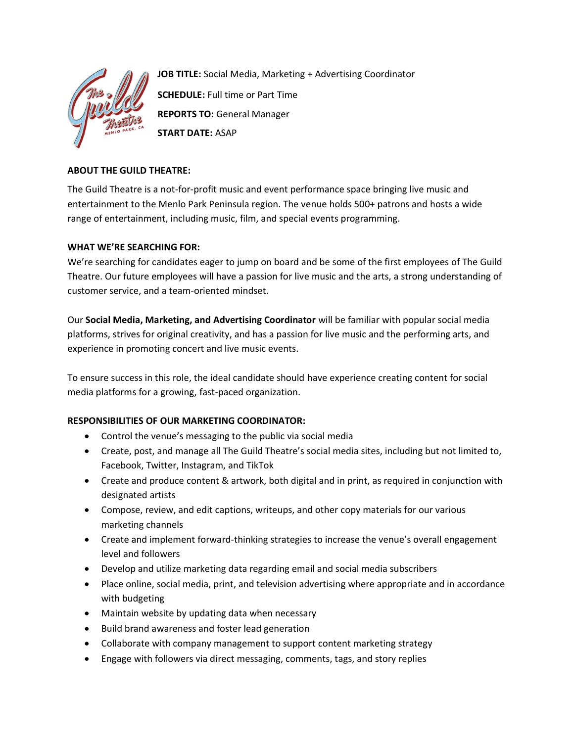

**JOB TITLE:** Social Media, Marketing + Advertising Coordinator **SCHEDULE:** Full time or Part Time **REPORTS TO:** General Manager **START DATE:** ASAP

# **ABOUT THE GUILD THEATRE:**

The Guild Theatre is a not-for-profit music and event performance space bringing live music and entertainment to the Menlo Park Peninsula region. The venue holds 500+ patrons and hosts a wide range of entertainment, including music, film, and special events programming.

# **WHAT WE'RE SEARCHING FOR:**

We're searching for candidates eager to jump on board and be some of the first employees of The Guild Theatre. Our future employees will have a passion for live music and the arts, a strong understanding of customer service, and a team-oriented mindset.

Our **Social Media, Marketing, and Advertising Coordinator** will be familiar with popular social media platforms, strives for original creativity, and has a passion for live music and the performing arts, and experience in promoting concert and live music events.

To ensure success in this role, the ideal candidate should have experience creating content for social media platforms for a growing, fast-paced organization.

# **RESPONSIBILITIES OF OUR MARKETING COORDINATOR:**

- Control the venue's messaging to the public via social media
- Create, post, and manage all The Guild Theatre's social media sites, including but not limited to, Facebook, Twitter, Instagram, and TikTok
- Create and produce content & artwork, both digital and in print, as required in conjunction with designated artists
- Compose, review, and edit captions, writeups, and other copy materials for our various marketing channels
- Create and implement forward-thinking strategies to increase the venue's overall engagement level and followers
- Develop and utilize marketing data regarding email and social media subscribers
- Place online, social media, print, and television advertising where appropriate and in accordance with budgeting
- Maintain website by updating data when necessary
- Build brand awareness and foster lead generation
- Collaborate with company management to support content marketing strategy
- Engage with followers via direct messaging, comments, tags, and story replies